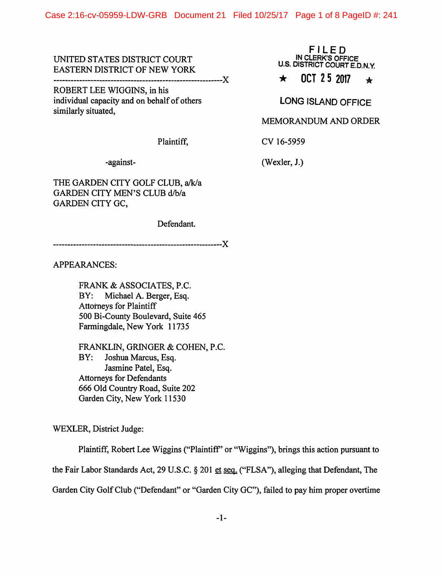## UNITED STATES DISTRICT COURT EASTERN DISTRICT OF NEW YORK

-----------------------------------------------------------)(

ROBERT LEE WIGGINS, in his individual capacity and on behalf of others similarly situated,

FILED IN CLERK'S OFFICE U.S. DISTRICT COURT E.D.N.Y.

# $\star$  **OCT 2.5 2017**  $\star$

LONG ISLAND OFFICE

#### MEMORANDUM AND ORDER

Plaintiff,

cv 16-5959 (Wexler, J.)

-against-

THE GARDEN CITY GOLF CLUB, a/k/a GARDEN CITY MEN'S CLUB d/b/a GARDEN CITY GC,

Defendant.

-----------------------------------------------------------}{

APPEARANCES:

FRANK & ASSOCIATES, P.C. BY: Michael A. Berger, Esq. Attorneys for Plaintiff 500 Bi-County Boulevard, Suite 465 Farmingdale, New York 11735

FRANKLIN, GRINGER & COHEN, P.C. BY: Joshua Marcus, Esq. Jasmine Patel, Esq. Attorneys for Defendants 666 Old Country Road, Suite 202 Garden City, New York 11530

WEXLER, District Judge:

Plaintiff, Robert Lee Wiggins ("Plaintiff' or "Wiggins"), brings this action pursuant to the Fair Labor Standards Act, 29 U.S.C. § 201 et seq. ("FLSA"), alleging that Defendant, The Garden City Golf Club ("Defendant" or "Garden City GC"), failed to pay him proper overtime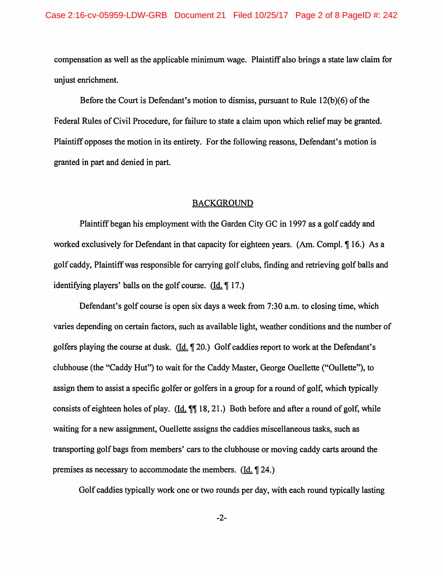compensation as well as the applicable minimum wage. Plaintiff also brings a state law claim for unjust enrichment.

Before the Court is Defendant's motion to dismiss, pursuant to Rule 12{b)(6) of the Federal Rules of Civil Procedure, for failure to state a claim upon which relief may be granted. Plaintiff opposes the motion in its entirety. For the following reasons, Defendant's motion is granted in part and denied in part.

#### BACKGROUND

.Plaintiff began his employment with the Garden City GC in 1997 as a golf caddy and worked exclusively for Defendant in that capacity for eighteen years. (Am. Compl.  $\P$  16.) As a golf caddy, Plaintiff was responsible for carrying golf clubs, finding and retrieving golf balls and identifying players' balls on the golf course.  $(Id, \P 17)$ 

Defendant's golf course is open six days a week from 7:30 a.m. to closing time, which varies depending on certain factors, such as available light, weather conditions and the number of golfers playing the course at dusk.  $(Id, \P 20)$  Golf caddies report to work at the Defendant's clubhouse (the "Caddy Hut") to wait for the Caddy Master, George Ouellette ("Gullette"), to assign them to assist a specific golfer or golfers in a group for a round of golf, which typically consists of eighteen holes of play. (Id.  $\P$ ] 18, 21.) Both before and after a round of golf, while waiting for a new assignment, Ouellette assigns the caddies miscellaneous tasks, such as transporting golf bags from members' cars to the clubhouse or moving caddy carts around the premises as necessary to accommodate the members.  $(Id, \P 24)$ 

Golf caddies typically work one or two rounds per day, with each round typically lasting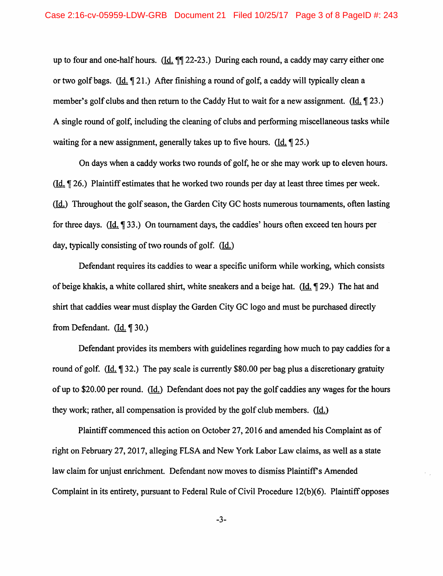up to four and one-half hours. (Id.  $\mathbb{I}$  22-23.) During each round, a caddy may carry either one or two golf bags. ( $\underline{Id}$ ,  $\P$  21.) After finishing a round of golf, a caddy will typically clean a member's golf clubs and then return to the Caddy Hut to wait for a new assignment. ( $\underline{Id.} \P 23$ .) A single round of golf, including the cleaning of clubs and performing miscellaneous tasks while waiting for a new assignment, generally takes up to five hours. (Id.  $\left( \frac{\mathsf{Id}}{\mathsf{Id}} \right)$  25.)

On days when a caddy works two rounds of golf, he or she may work up to eleven hours. (ld. ~ 26.) Plaintiff estimates that he worked two rounds per day at least three times per week. (Id.) Throughout the golf season, the Garden City GC hosts numerous tournaments, often lasting for three days.  $(Id. \P 33.)$  On tournament days, the caddies' hours often exceed ten hours per day, typically consisting of two rounds of golf. (Id.)

Defendant requires its caddies to wear a specific uniform while working, which consists of beige khakis, a white collared shirt, white sneakers and a beige hat. (Id.  $\parallel$  29.) The hat and shirt that caddies wear must display the Garden City GC logo and must be purchased directly from Defendant.  $(Id. \P 30.)$ 

Defendant provides its members with guidelines regarding how much to pay caddies for a round of golf. ( $\text{Id.} \P 32$ .) The pay scale is currently \$80.00 per bag plus a discretionary gratuity of up to \$20.00 per round. (Id.) Defendant does not pay the golf caddies any wages for the hours they work; rather, all compensation is provided by the golf club members. (Id.)

Plaintiff commenced this action on October 27, 2016 and amended his Complaint as of right on February 27,2017, alleging FLSA and New York Labor Law claims, as well as a state law claim for unjust enrichment. Defendant now moves to dismiss Plaintiff's Amended Complaint in its entirety, pursuant to Federal Rule of Civil Procedure 12(b)(6). Plaintiff opposes

-3-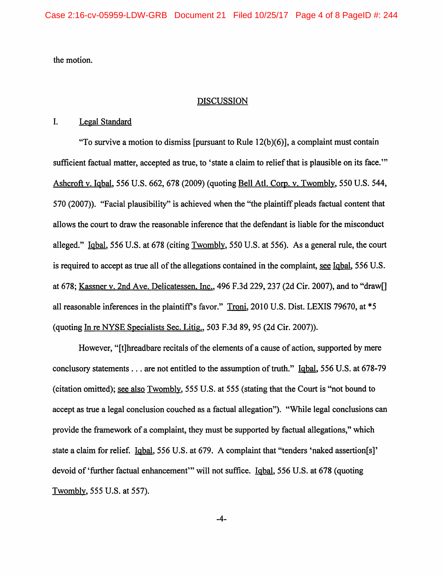the motion.

### **DISCUSSION**

### I. Legal Standard

"To survive a motion to dismiss [pursuant to Rule  $12(b)(6)$ ], a complaint must contain sufficient factual matter, accepted as true, to 'state a claim to relief that is plausible on its face." Ashcroft v. Iqbal, 556 U.S. 662, 678 (2009) (quoting Bell Atl. Corp. v. Twombly, 550 U.S. 544, 570 (2007)). "Facial plausibility" is achieved when the "the plaintiff pleads factual content that allows the court to draw the reasonable inference that the defendant is liable for the misconduct alleged." Iqbal, 556 U.S. at 678 (citing Twombly, 550 U.S. at 556). As a general rule, the court is required to accept as true all of the allegations contained in the complaint, see Iqbal, 556 U.S. at 678; Kassner v. 2nd Ave. Delicatessen, Inc., 496 F.3d 229, 237 (2d Cir. 2007), and to "draw[] all reasonable inferences in the plaintiff's favor." Troni, 2010 U.S. Dist. LEXIS 79670, at \*5 (quoting In re NYSE Specialists Sec. Litig., 503 F.3d 89, 95 (2d Cir. 2007)).

However, "[t]hreadbare recitals of the elements of a cause of action, supported by mere conclusory statements ... are not entitled to the assumption of truth." Iqbal, 556 U.S. at 678-79 (citation omitted); see also Twombly, 555 U.S. at 555 (stating that the Court is "not bound to accept as true a legal conclusion couched as a factual allegation"). "While legal conclusions can provide the framework of a complaint, they must be supported by factual allegations," which state a claim for relief. Iqbal, 556 U.S. at 679. A complaint that "tenders 'naked assertion[s]' devoid of 'further factual enhancement'" will not suffice. Iqbal, 556 U.S. at 678 (quoting Twombly, 555 U.S. at 557).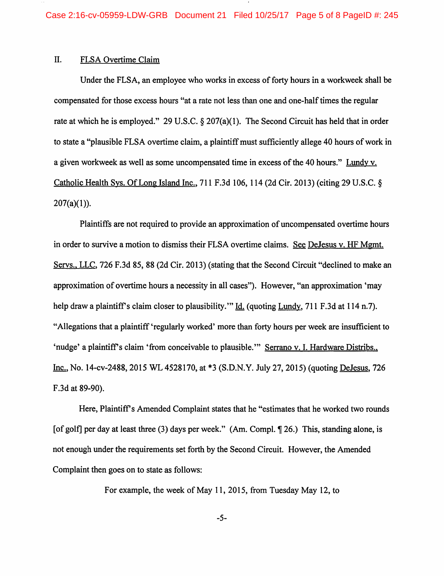## II. FLSA Overtime Claim

Under the FLSA, an employee who works in excess of forty hours in a workweek shall be compensated for those excess hours "at a rate not less than one and one-half times the regular rate at which he is employed." 29 U.S.C. § 207(a)(1). The Second Circuit has held that in order to state a "plausible FLSA overtime claim, a plaintiff must sufficiently allege 40 hours of work in a given workweek as well as some uncompensated time in excess of the 40 hours." Lundy v. Catholic Health Sys. Of Long Island Inc., 711 F.3d 106, 114 (2d Cir. 2013) (citing 29 U.S.C. §  $207(a)(1)$ ).

Plaintiffs are not required to provide an approximation of uncompensated overtime hours in order to survive a motion to dismiss their FLSA overtime claims. See DeJesus v. HF Mgmt. Servs., LLC, 726 F.3d 85, 88 (2d Cir. 2013) (stating that the Second Circuit "declined to make an approximation of overtime hours a necessity in all cases"). However, "an approximation 'may help draw a plaintiff's claim closer to plausibility." Id. (quoting Lundy, 711 F.3d at 114 n.7). "Allegations that a plaintiff 'regularly worked' more than forty hours per week are insufficient to 'nudge' a plaintiff's claim 'from conceivable to plausible."" Serrano v. I. Hardware Distribs., Inc., No. 14-cv-2488, 2015 WL 4528170, at \*3 (S.D.N.Y. July 27, 2015) (quoting DeJesus, 726 F .3d at 89-90).

Here, Plaintiff's Amended Complaint states that he "estimates that he worked two rounds [of golf] per day at least three (3) days per week." (Am. Compl. 1 26.) This, standing alone, is not enough under the requirements set forth by the Second Circuit. However, the Amended Complaint then goes on to state as follows:

For example, the week of May 11, 2015, from Tuesday May 12, to

-5-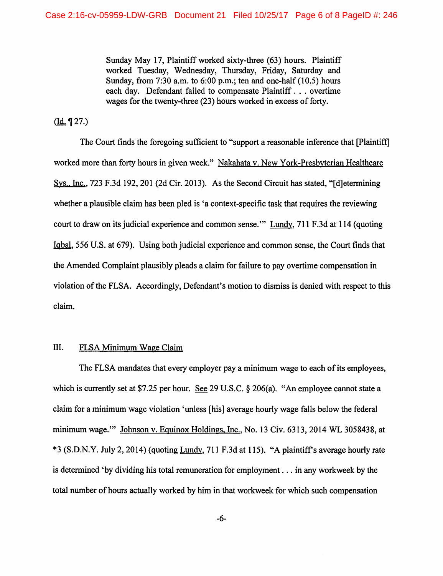Sunday May 17, Plaintiff worked sixty-three (63) hours. Plaintiff worked Tuesday, Wednesday, Thursday, Friday, Saturday and Sunday, from  $7:30$  a.m. to  $6:00$  p.m.; ten and one-half  $(10.5)$  hours each day. Defendant failed to compensate Plaintiff . . . overtime wages for the twenty-three (23) hours worked in excess of forty.

 $(\underline{Id.} \P 27.)$ 

The Court finds the foregoing sufficient to "support a reasonable inference that [Plaintiff] worked more than forty hours in given week." Nakahata v. New York-Presbyterian Healthcare Sys., Inc., 723 F.3d 192, 201 (2d Cir. 2013). As the Second Circuit has stated, "[d]etermining whether a plausible claim has been pled is 'a context-specific task that requires the reviewing court to draw on its judicial experience and common sense."' Lundy, 711 F .3d at 114 (quoting Iqbal, 556 U.S. at 679). Using both judicial experience and common sense, the Court finds that the Amended Complaint plausibly pleads a claim for failure to pay overtime compensation in violation of the FLSA. Accordingly, Defendant's motion to dismiss is denied with respect to this claim.

## III. FLSA Minimum Wage Claim

The FLSA mandates that every employer pay a minimum wage to each of its employees, which is currently set at \$7.25 per hour. See 29 U.S.C. § 206(a). "An employee cannot state a claim for a minimum wage violation 'unless [his] average hourly wage falls below the federal minimum wage."" Johnson v. Equinox Holdings, Inc., No. 13 Civ. 6313, 2014 WL 3058438, at \*3 (S.D.N.Y. July 2, 2014) (quoting Lundy, 711 F.3d at 115). "A plaintifrs average hourly rate is determined 'by dividing his total remuneration for employment ... in any workweek by the total number of hours actually worked by him in that workweek for which such compensation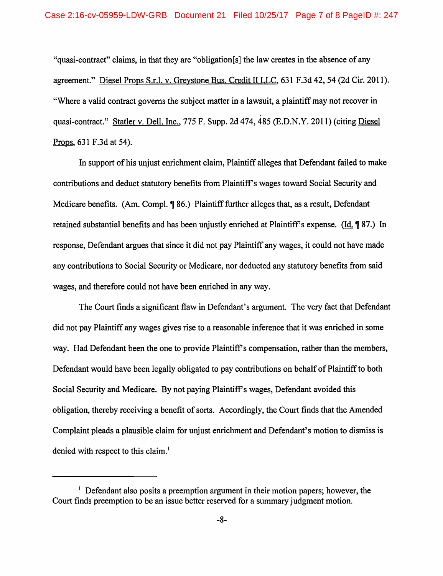"quasi-contract" claims, in that they are "obligation[s] the law creates in the absence of any agreement." Diesel Props S.r.l. v. Greystone Bus. Credit II LLC, '631 F.3d 42, 54 (2d Cir. 2011). "Where a valid contract governs the subject matter in a lawsuit, a plaintiff may not recover in quasi-contract." Statler v. Dell. Inc., 775 F. Supp. 2d 474, 485 (E.D.N.Y. 2011) (citing Diesel Props, 631 F.3d at 54).

In support of his unjust enrichment claim, Plaintiff alleges that Defendant failed to make contributions and deduct statutory benefits from Plaintiffs wages toward Social Security and Medicare benefits. (Am. Compl.  $\sqrt{986}$ .) Plaintiff further alleges that, as a result, Defendant retained substantial benefits and has been unjustly enriched at Plaintiff's expense. (Id. 187.) In response, Defendant argues that since it did not pay Plaintiff any wages, it could not have made any contributions to Social Security or Medicare, nor deducted any statutory benefits from said wages, and therefore could not have been enriched in any way.

The Court finds a significant flaw in Defendant's argument. The very fact that Defendant did not pay Plaintiff any wages gives rise to a reasonable inference that it was enriched in some way. Had Defendant been the one to provide Plaintiffs compensation, rather than the members, Defendant would have been legally obligated to pay contributions on behalf of Plaintiff to both Social Security and Medicare. By not paying Plaintiff's wages, Defendant avoided this obligation, thereby receiving a benefit of sorts. Accordingly, the Court finds that the Amended Complaint pleads a plausible claim for unjust enrichment and Defendant's motion to dismiss is denied with respect to this claim.<sup>1</sup>

<sup>&</sup>lt;sup>1</sup> Defendant also posits a preemption argument in their motion papers; however, the Court finds preemption to be an issue better reserved for a summary judgment motion.